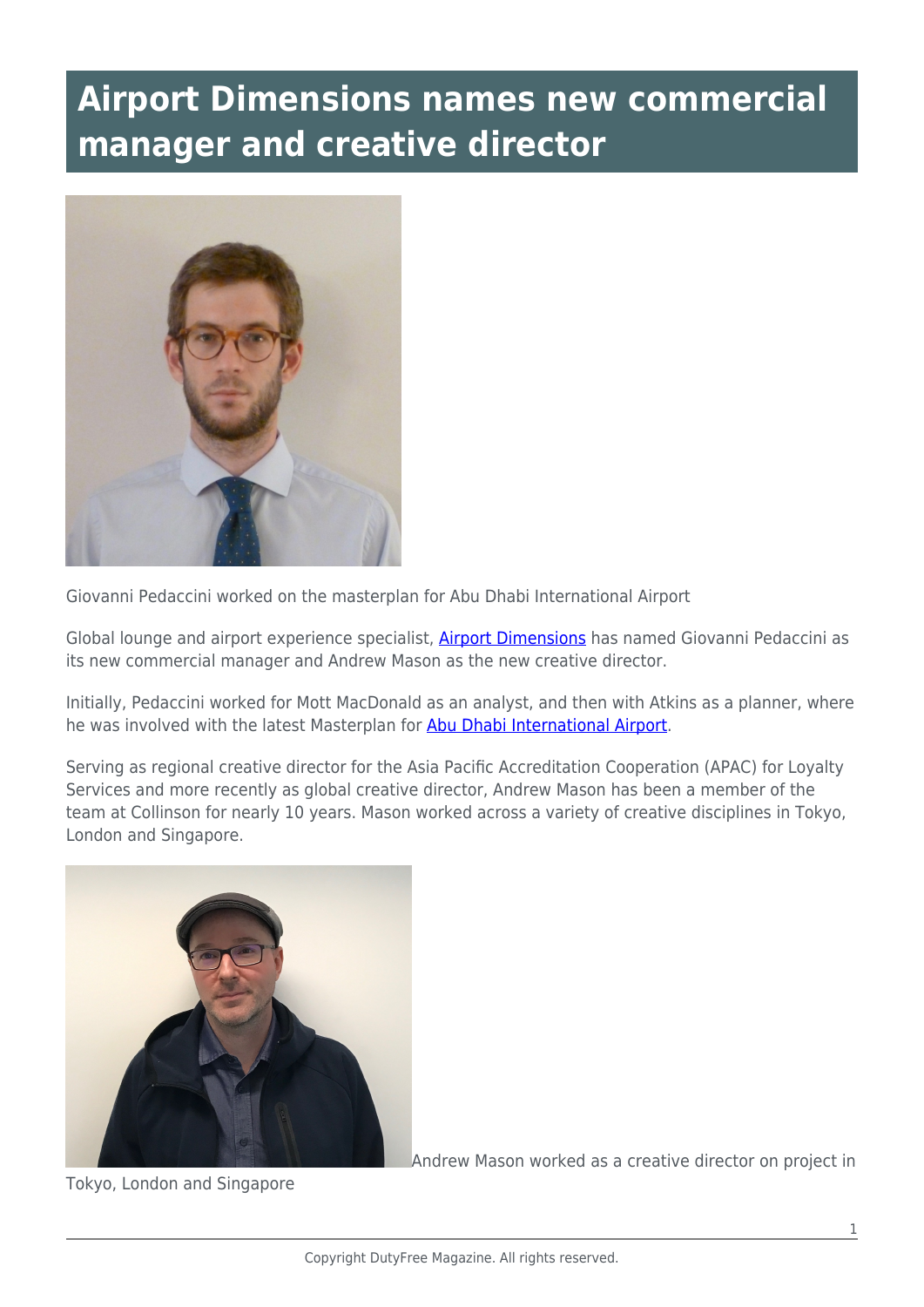## **Airport Dimensions names new commercial manager and creative director**



Giovanni Pedaccini worked on the masterplan for Abu Dhabi International Airport

Global lounge and airport experience specialist, **Airport Dimensions** has named Giovanni Pedaccini as its new commercial manager and Andrew Mason as the new creative director.

Initially, Pedaccini worked for Mott MacDonald as an analyst, and then with Atkins as a planner, where he was involved with the latest Masterplan for [Abu Dhabi International Airport](https://www.abudhabiairport.ae/en).

Serving as regional creative director for the Asia Pacific Accreditation Cooperation (APAC) for Loyalty Services and more recently as global creative director, Andrew Mason has been a member of the team at Collinson for nearly 10 years. Mason worked across a variety of creative disciplines in Tokyo, London and Singapore.



Tokyo, London and Singapore

Andrew Mason worked as a creative director on project in